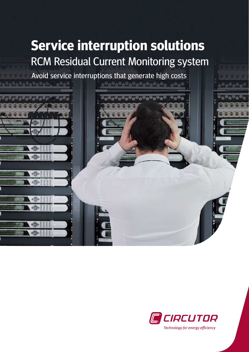## **Service interruption solutions** RCM Residual Current Monitoring system

Avoid service interruptions that generate high costs



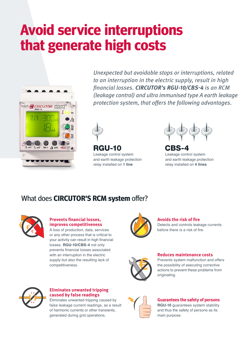# **Avoid service interruptions that generate high costs**



Unexpected but avoidable stops or interruptions, related to an interruption in the electric supply, result in high financial losses. **CIRCUTOR's RGU-10/CBS-4** is an RCM (leakage control) and ultra immunised type A earth leakage protection system, that offers the following advantages.



rgu-10 CBS-4 Leakage control system and earth leakage protection relay installed on **1 line**

Leakage control system and earth leakage protection relay installed on **4 lines**

### What does **CIRCUTOR'S RCM system** offer?



#### **Prevents financial losses, improves competitiveness**

A loss of production, data, services or any other process that is critical to your activity can result in high financial losses. **RGU-10/CBS-4** not only prevents financial losses associated with an interruption in the electric supply but also the resulting lack of competitiveness.



#### **Avoids the risk of fire**

Detects and controls leakage currents before there is a risk of fire.



#### **Reduces maintenance costs**

Prevents system malfunction and offers the possibility of executing corrective actions to prevent these problems from originating.



#### **Eliminates unwanted tripping caused by false readings**

Eliminates unwanted tripping caused by false leakage current readings, as a result of harmonic currents or other transients, generated during grid operations.



#### **Guarantees the safety of persons**

**RGU-10** guarantees system stability and thus the safety of persons as its main purpose.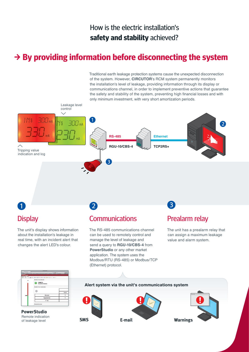### How is the electric installation's **safety and stability** achieved?

### **→ By providing information before disconnecting the system**

Traditional earth leakage protection systems cause the unexpected disconnection of the system. However, **CIRCUTOR**'s RCM system permanently monitors the installation's level of leakage, providing information through its display or communications channel, in order to implement preventive actions that guarantee the safety and stability of the system, preventing high financial losses and with only minimum investment, with very short amortization periods.



Remote indication of leakage level **PowerStudio**